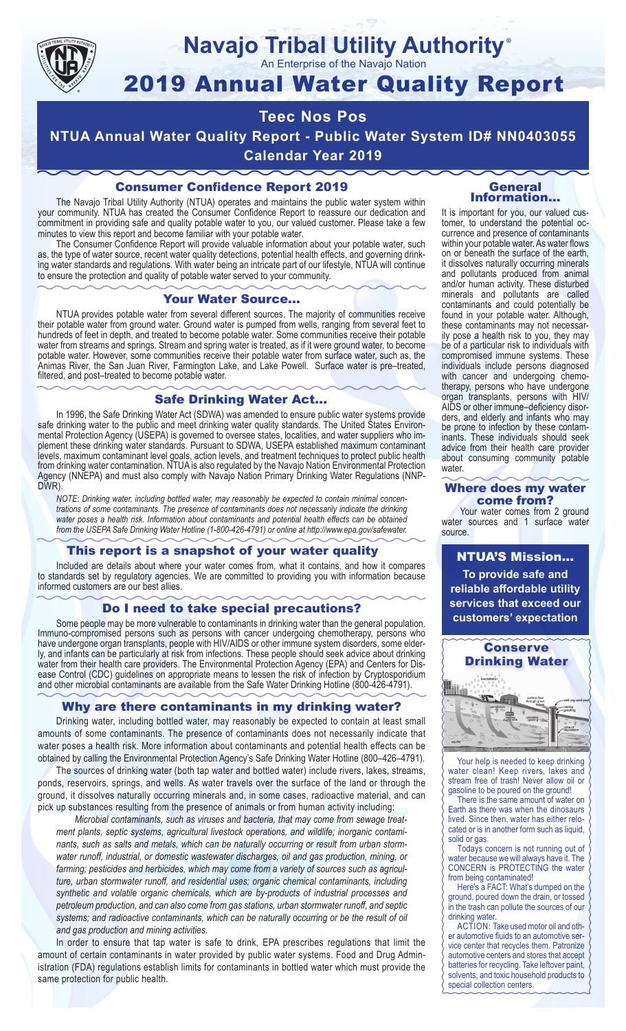

#### **Navajo Tribal Utility Authority** ®

An Enterprise of the Navajo Nation

# 2019 Annual Water Quality Report

## **Teec Nos Pos**

**NTUA Annual Water Quality Report - Public Water System ID# NN0403055 Calendar Year 2019**

#### Consumer Confidence Report 2019

The Navajo Tribal Utility Authority (NTUA) operates and maintains the public water system within your community. NTUA has created the Consumer Confidence Report to reassure our dedication and commitment in providing safe and quality potable water to you, our valued customer. Please take a few minutes to view this report and become familiar with your potable water.

The Consumer Confidence Report will provide valuable information about your potable water, such as, the type of water source, recent water quality detections, potential health effects, and governing drinking water standards and regulations. With water being an intricate part of our lifestyle, NTUA will continue to ensure the protection and quality of potable water served to your community.

#### Your Water Source…

NTUA provides potable water from several different sources. The majority of communities receive their potable water from ground water. Ground water is pumped from wells, ranging from several feet to hundreds of feet in depth, and treated to become potable water. Some communities receive their potable water from streams and springs. Stream and spring water is treated, as if it were ground water, to become potable water. However, some communities receive their potable water from surface water, such as, the Animas River, the San Juan River, Farmington Lake, and Lake Powell. Surface water is pre–treated, filtered, and post–treated to become potable water.

#### Safe Drinking Water Act…

In 1996, the Safe Drinking Water Act (SDWA) was amended to ensure public water systems provide safe drinking water to the public and meet drinking water quality standards. The United States Environmental Protection Agency (USEPA) is governed to oversee states, localities, and water suppliers who implement these drinking water standards. Pursuant to SDWA, USEPA established maximum contaminant levels, maximum contaminant level goals, action levels, and treatment techniques to protect public health from drinking water contamination. NTUA is also regulated by the Navajo Nation Environmental Protection Agency (NNEPA) and must also comply with Navajo Nation Primary Drinking Water Regulations (NNP-DWR)

*NOTE: Drinking water, including bottled water, may reasonably be expected to contain minimal concentrations of some contaminants. The presence of contaminants does not necessarily indicate the drinking water poses a health risk. Information about contaminants and potential health effects can be obtained from the USEPA Safe Drinking Water Hotline (1-800-426-4791) or online at http://www.epa.gov/safewater.*

#### This report is a snapshot of your water quality

Included are details about where your water comes from, what it contains, and how it compares to standards set by regulatory agencies. We are committed to providing you with information because informed customers are our best allies.

#### Do I need to take special precautions?

Some people may be more vulnerable to contaminants in drinking water than the general population. Immuno-compromised persons such as persons with cancer undergoing chemotherapy, persons who have undergone organ transplants, people with HIV/AIDS or other immune system disorders, some elderly, and infants can be particularly at risk from infections. These people should seek advice about drinking water from their health care providers. The Environmental Protection Agency (EPA) and Centers for Disease Control (CDC) guidelines on appropriate means to lessen the risk of infection by Cryptosporidium and other microbial contaminants are available from the Safe Water Drinking Hotline (800-426-4791).

#### Why are there contaminants in my drinking water?

Drinking water, including bottled water, may reasonably be expected to contain at least small amounts of some contaminants. The presence of contaminants does not necessarily indicate that water poses a health risk. More information about contaminants and potential health effects can be obtained by calling the Environmental Protection Agency's Safe Drinking Water Hotline (800–426–4791).

The sources of drinking water (both tap water and bottled water) include rivers, lakes, streams, ponds, reservoirs, springs, and wells. As water travels over the surface of the land or through the ground, it dissolves naturally occurring minerals and, in some cases, radioactive material, and can pick up substances resulting from the presence of animals or from human activity including:

*Microbial contaminants, such as viruses and bacteria, that may come from sewage treatment plants, septic systems, agricultural livestock operations, and wildlife; inorganic contaminants, such as salts and metals, which can be naturally occurring or result from urban stormwater runoff, industrial, or domestic wastewater discharges, oil and gas production, mining, or farming; pesticides and herbicides, which may come from a variety of sources such as agriculture, urban stormwater runoff, and residential uses; organic chemical contaminants, including synthetic and volatile organic chemicals, which are by-products of industrial processes and petroleum production, and can also come from gas stations, urban stormwater runoff, and septic systems; and radioactive contaminants, which can be naturally occurring or be the result of oil and gas production and mining activities.*

In order to ensure that tap water is safe to drink, EPA prescribes regulations that limit the amount of certain contaminants in water provided by public water systems. Food and Drug Administration (FDA) regulations establish limits for contaminants in bottled water which must provide the same protection for public health.

#### General Information…

It is important for you, our valued customer, to understand the potential occurrence and presence of contaminants within your potable water. As water flows on or beneath the surface of the earth, it dissolves naturally occurring minerals and pollutants produced from animal and/or human activity. These disturbed minerals and pollutants are called contaminants and could potentially be found in your potable water. Although, these contaminants may not necessarily pose a health risk to you, they may be of a particular risk to individuals with compromised immune systems. These individuals include persons diagnosed with cancer and undergoing chemo-<br>therapy, persons who have undergone organ transplants, persons with HIV/ AIDS or other immune–deficiency disor- ders, and elderly and infants who may be prone to infection by these contam- inants. These individuals should seek advice from their health care provider about consuming community potable water.

#### Where does my water come from?

Your water comes from 2 ground water sources and 1 surface water source.

NTUA'S Mission... **To provide safe and reliable affordable utility services that exceed our customers' expectation**



Your help is needed to keep drinking water clean! Keep rivers, lakes and stream free of trash! Never allow oil or gasoline to be poured on the ground!

There is the same amount of water on Earth as there was when the dinosaurs lived. Since then, water has either relocated or is in another form such as liquid, solid or gas.

Todays concern is not running out of water because we will always have it. The CONCERN is PROTECTING the water from being contaminated!

Here's a FACT: What's dumped on the ground, poured down the drain, or tossed in the trash can pollute the sources of our drinking water.

ACTION: Take used motor oil and other automotive fluids to an automotive service center that recycles them. Patronize automotive centers and stores that accept batteries for recycling. Take leftover paint, solvents, and toxic household products to special collection centers.